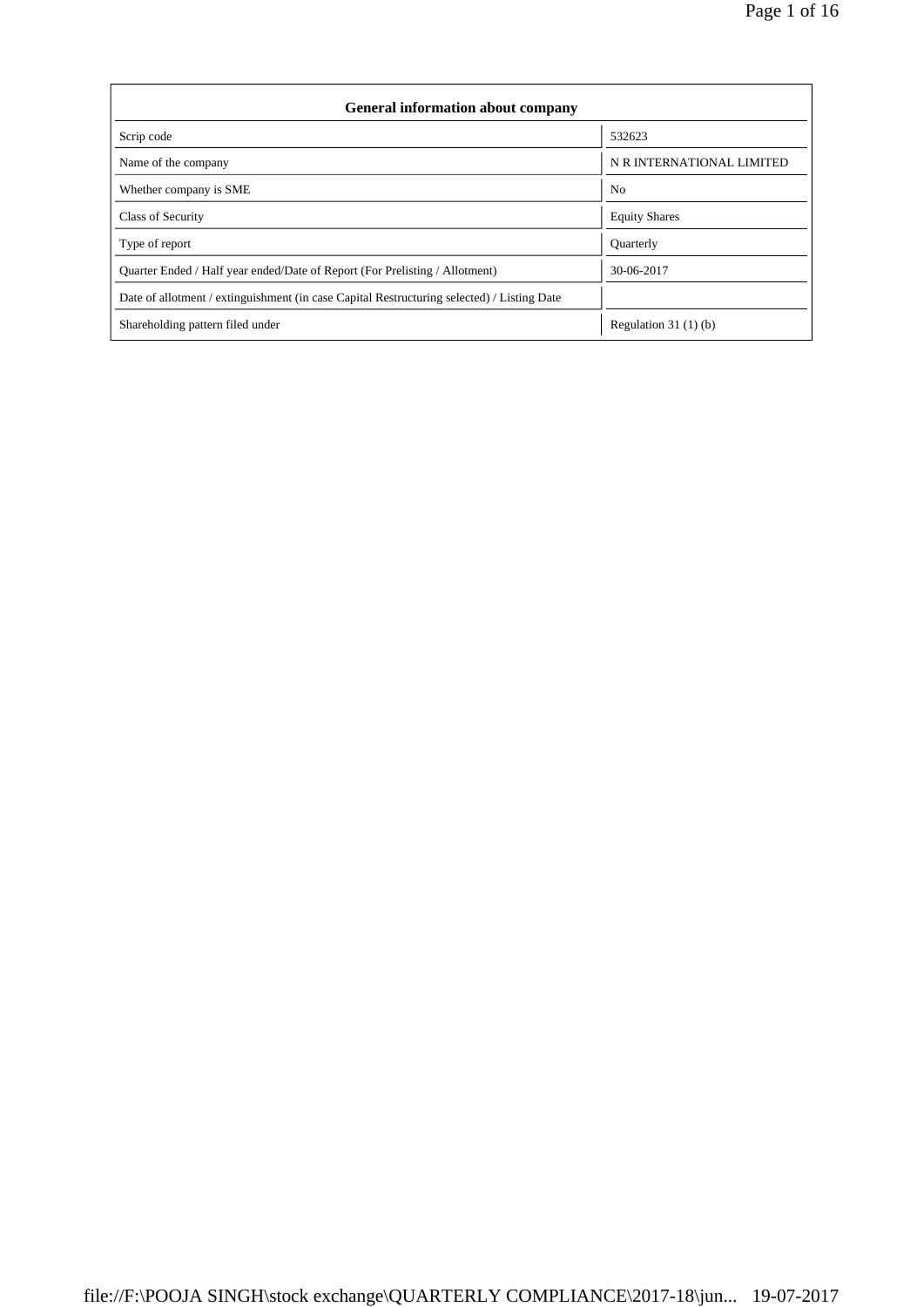| <b>General information about company</b>                                                   |                           |
|--------------------------------------------------------------------------------------------|---------------------------|
| Scrip code                                                                                 | 532623                    |
| Name of the company                                                                        | N R INTERNATIONAL LIMITED |
| Whether company is SME                                                                     | N <sub>0</sub>            |
| Class of Security                                                                          | <b>Equity Shares</b>      |
| Type of report                                                                             | <b>Quarterly</b>          |
| Quarter Ended / Half year ended/Date of Report (For Prelisting / Allotment)                | 30-06-2017                |
| Date of allotment / extinguishment (in case Capital Restructuring selected) / Listing Date |                           |
| Shareholding pattern filed under                                                           | Regulation $31(1)(b)$     |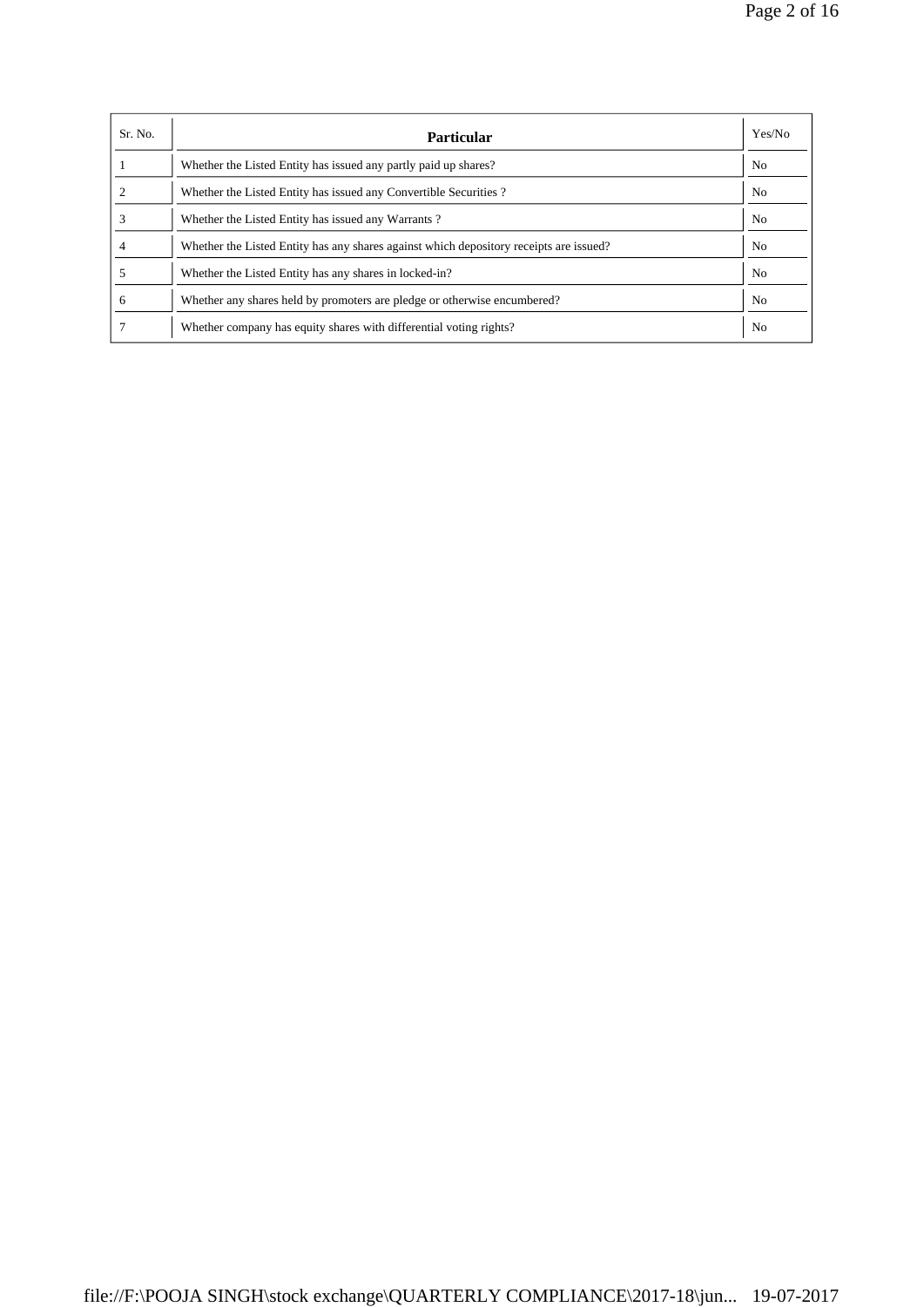| Sr. No. | <b>Particular</b>                                                                      | Yes/No         |
|---------|----------------------------------------------------------------------------------------|----------------|
|         | Whether the Listed Entity has issued any partly paid up shares?                        | N <sub>0</sub> |
|         | Whether the Listed Entity has issued any Convertible Securities?                       | No.            |
|         | Whether the Listed Entity has issued any Warrants?                                     | N <sub>0</sub> |
|         | Whether the Listed Entity has any shares against which depository receipts are issued? | No.            |
|         | Whether the Listed Entity has any shares in locked-in?                                 | N <sub>0</sub> |
| 6       | Whether any shares held by promoters are pledge or otherwise encumbered?               | No             |
|         | Whether company has equity shares with differential voting rights?                     | N <sub>0</sub> |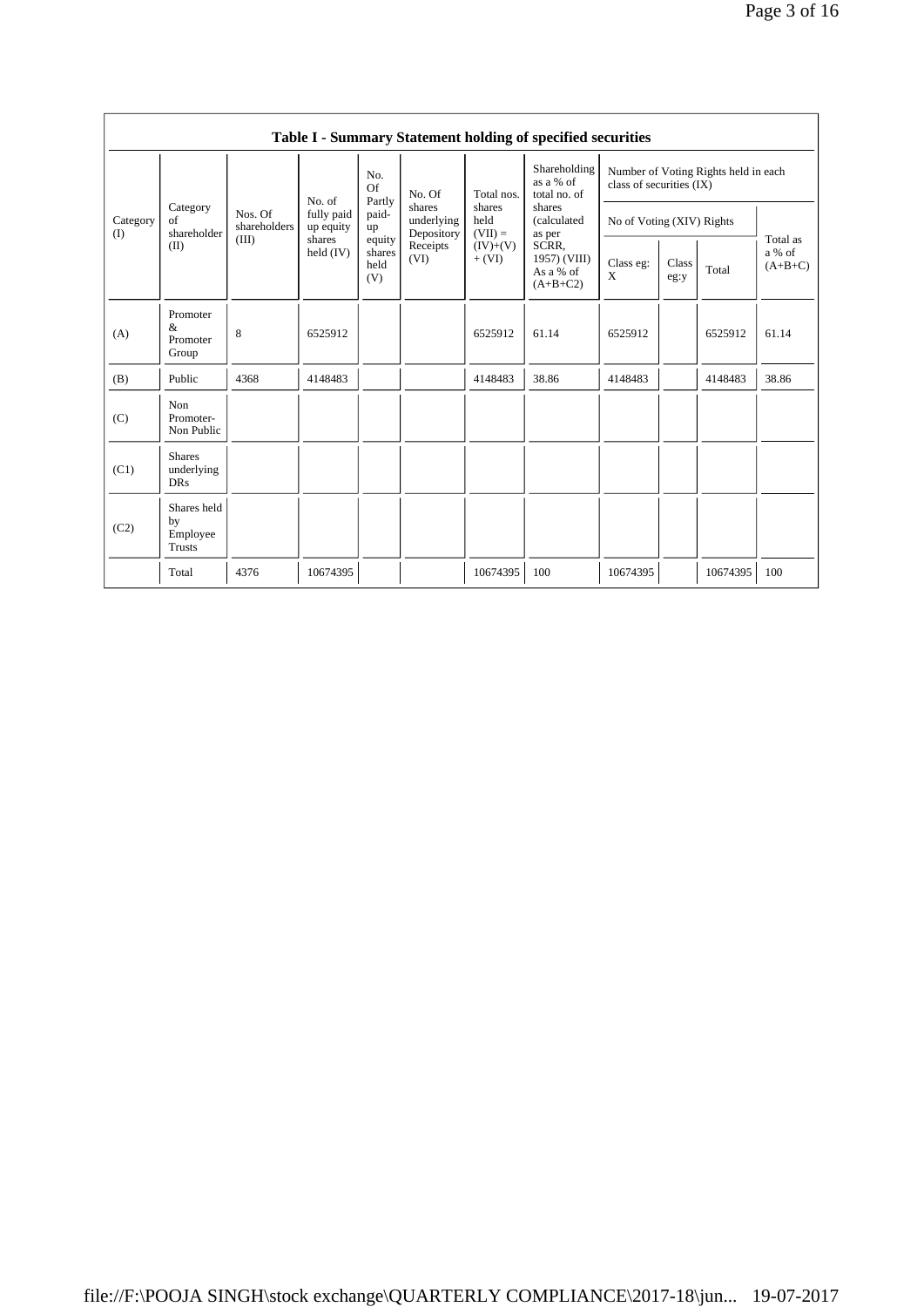|                 |                                                |                         |                         |                                 |                                    |                             | Table I - Summary Statement holding of specified securities                         |                                                                    |               |          |                                 |
|-----------------|------------------------------------------------|-------------------------|-------------------------|---------------------------------|------------------------------------|-----------------------------|-------------------------------------------------------------------------------------|--------------------------------------------------------------------|---------------|----------|---------------------------------|
|                 |                                                |                         | No. of                  | No.<br>Of<br>Partly             | No. Of                             | Total nos.                  | Shareholding<br>as a % of<br>total no. of                                           | Number of Voting Rights held in each<br>class of securities $(IX)$ |               |          |                                 |
| Category<br>(I) | Category<br>of<br>shareholder                  | Nos. Of<br>shareholders | fully paid<br>up equity | paid-<br>up                     | shares<br>underlying<br>Depository | shares<br>held<br>$(VII) =$ | shares<br>(calculated<br>as per<br>SCRR.<br>1957) (VIII)<br>As a % of<br>$(A+B+C2)$ | No of Voting (XIV) Rights                                          |               |          |                                 |
|                 | (II)                                           | (III)                   | shares<br>held (IV)     | equity<br>shares<br>held<br>(V) | Receipts<br>(VI)                   | $(IV)+(V)$<br>$+ (VI)$      |                                                                                     | Class eg:<br>X                                                     | Class<br>eg:y | Total    | Total as<br>a % of<br>$(A+B+C)$ |
| (A)             | Promoter<br>&<br>Promoter<br>Group             | 8                       | 6525912                 |                                 |                                    | 6525912                     | 61.14                                                                               | 6525912                                                            |               | 6525912  | 61.14                           |
| (B)             | Public                                         | 4368                    | 4148483                 |                                 |                                    | 4148483                     | 38.86                                                                               | 4148483                                                            |               | 4148483  | 38.86                           |
| (C)             | Non<br>Promoter-<br>Non Public                 |                         |                         |                                 |                                    |                             |                                                                                     |                                                                    |               |          |                                 |
| (C1)            | <b>Shares</b><br>underlying<br><b>DRs</b>      |                         |                         |                                 |                                    |                             |                                                                                     |                                                                    |               |          |                                 |
| (C2)            | Shares held<br>by<br>Employee<br><b>Trusts</b> |                         |                         |                                 |                                    |                             |                                                                                     |                                                                    |               |          |                                 |
|                 | Total                                          | 4376                    | 10674395                |                                 |                                    | 10674395                    | 100                                                                                 | 10674395                                                           |               | 10674395 | 100                             |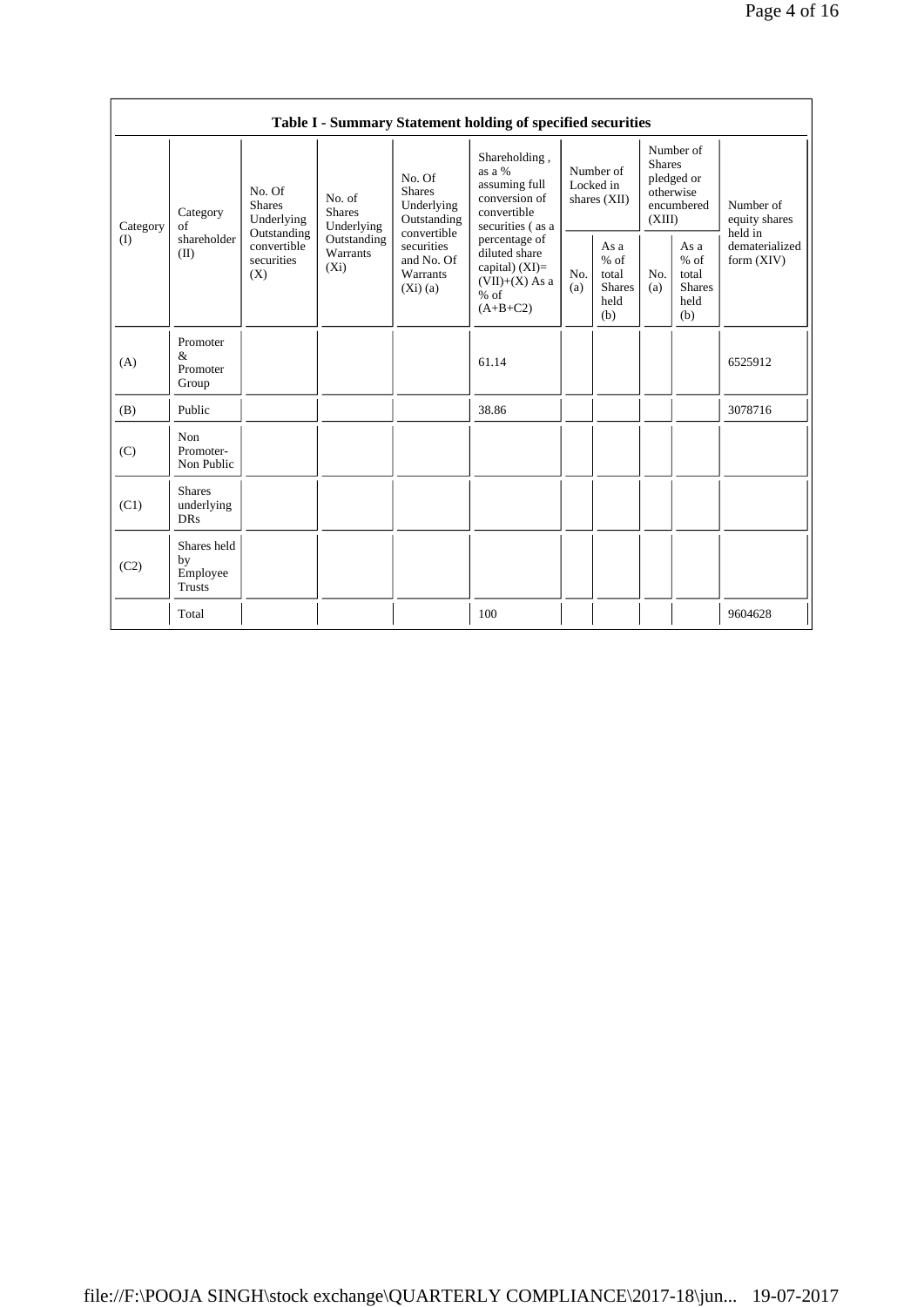|          |                                                                                                                             |                                                 |                                                                                              |                                                                | Table I - Summary Statement holding of specified securities |                                                                               |  |                                                                                                |            |                                                         |            |                                                         |                                |
|----------|-----------------------------------------------------------------------------------------------------------------------------|-------------------------------------------------|----------------------------------------------------------------------------------------------|----------------------------------------------------------------|-------------------------------------------------------------|-------------------------------------------------------------------------------|--|------------------------------------------------------------------------------------------------|------------|---------------------------------------------------------|------------|---------------------------------------------------------|--------------------------------|
| Category | No. Of<br>No. Of<br><b>Shares</b><br>No. of<br><b>Shares</b><br><b>Shares</b><br>Category<br>Underlying<br>Underlying<br>of | Underlying<br>Outstanding                       | Shareholding,<br>as a %<br>assuming full<br>conversion of<br>convertible<br>securities (as a | Number of<br>Locked in<br>shares (XII)                         |                                                             | Number of<br><b>Shares</b><br>pledged or<br>otherwise<br>encumbered<br>(XIII) |  | Number of<br>equity shares<br>held in                                                          |            |                                                         |            |                                                         |                                |
| (I)      | shareholder<br>(II)                                                                                                         | Outstanding<br>convertible<br>securities<br>(X) | Outstanding<br>Warrants<br>$(X_i)$                                                           | convertible<br>securities<br>and No. Of<br>Warrants<br>(Xi)(a) |                                                             |                                                                               |  | percentage of<br>diluted share<br>capital) $(XI)=$<br>$(VII)+(X)$ As a<br>$%$ of<br>$(A+B+C2)$ | No.<br>(a) | As a<br>$%$ of<br>total<br><b>Shares</b><br>held<br>(b) | No.<br>(a) | As a<br>$%$ of<br>total<br><b>Shares</b><br>held<br>(b) | dematerialized<br>form $(XIV)$ |
| (A)      | Promoter<br>&<br>Promoter<br>Group                                                                                          |                                                 |                                                                                              |                                                                | 61.14                                                       |                                                                               |  |                                                                                                |            | 6525912                                                 |            |                                                         |                                |
| (B)      | Public                                                                                                                      |                                                 |                                                                                              |                                                                | 38.86                                                       |                                                                               |  |                                                                                                |            | 3078716                                                 |            |                                                         |                                |
| (C)      | Non<br>Promoter-<br>Non Public                                                                                              |                                                 |                                                                                              |                                                                |                                                             |                                                                               |  |                                                                                                |            |                                                         |            |                                                         |                                |
| (C1)     | <b>Shares</b><br>underlying<br><b>DRs</b>                                                                                   |                                                 |                                                                                              |                                                                |                                                             |                                                                               |  |                                                                                                |            |                                                         |            |                                                         |                                |
| (C2)     | Shares held<br>by<br>Employee<br><b>Trusts</b>                                                                              |                                                 |                                                                                              |                                                                |                                                             |                                                                               |  |                                                                                                |            |                                                         |            |                                                         |                                |
|          | Total                                                                                                                       |                                                 |                                                                                              |                                                                | 100                                                         |                                                                               |  |                                                                                                |            | 9604628                                                 |            |                                                         |                                |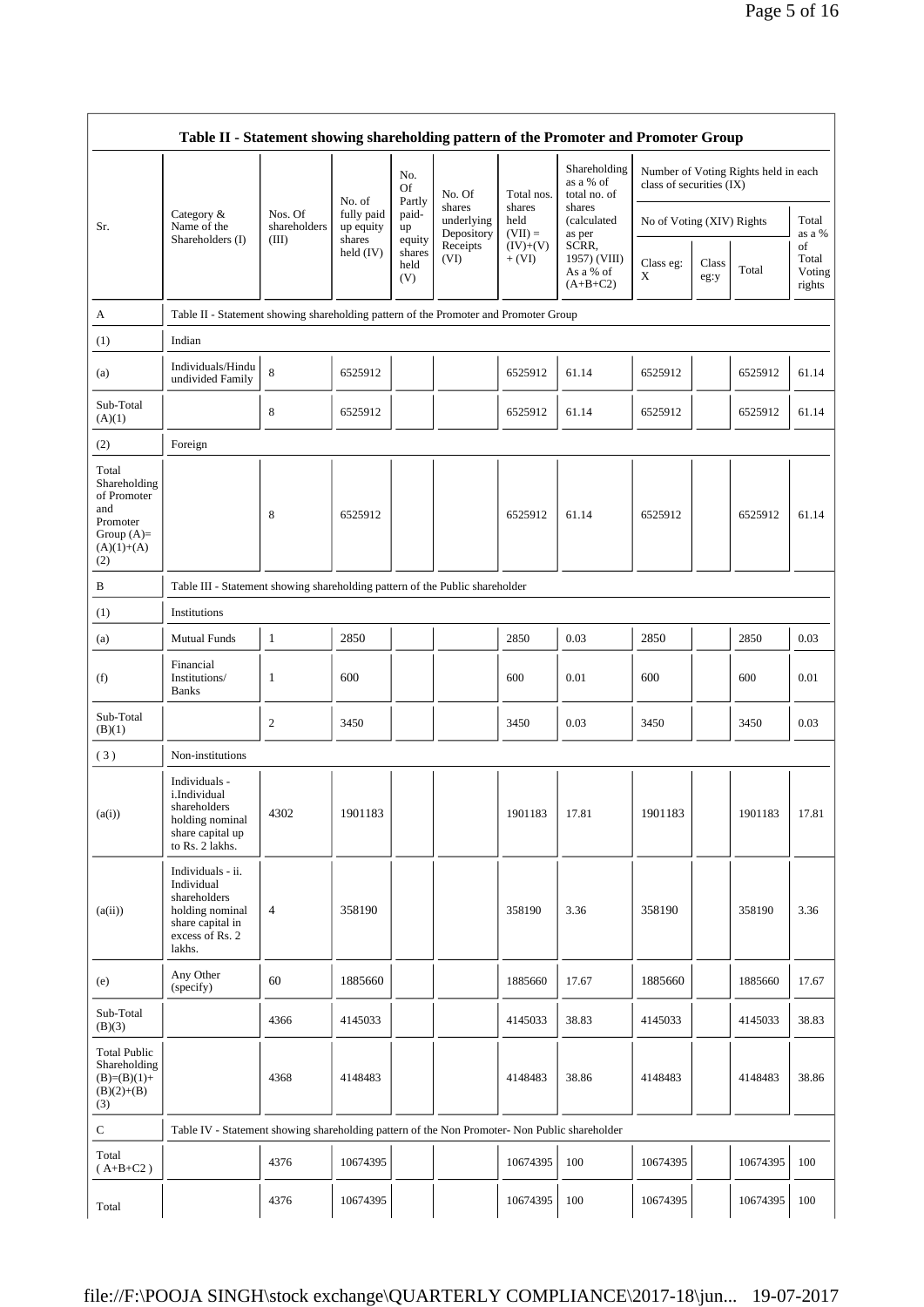|                                                                                                | Table II - Statement showing shareholding pattern of the Promoter and Promoter Group                                |                         |                                   |                                 |                          |                        |                                                     |                           |               |                                      |                                 |
|------------------------------------------------------------------------------------------------|---------------------------------------------------------------------------------------------------------------------|-------------------------|-----------------------------------|---------------------------------|--------------------------|------------------------|-----------------------------------------------------|---------------------------|---------------|--------------------------------------|---------------------------------|
|                                                                                                |                                                                                                                     |                         | No. of                            | No.<br>Of<br>Partly             | No. Of<br>shares         | Total nos.<br>shares   | Shareholding<br>as a % of<br>total no. of<br>shares | class of securities (IX)  |               | Number of Voting Rights held in each |                                 |
| Sr.                                                                                            | Category &<br>Name of the                                                                                           | Nos. Of<br>shareholders | fully paid<br>up equity<br>shares | paid-<br>up                     | underlying<br>Depository | held<br>$(VII) =$      | (calculated<br>as per                               | No of Voting (XIV) Rights |               |                                      | Total<br>as a %                 |
|                                                                                                | Shareholders (I)                                                                                                    | (III)                   | held $(IV)$                       | equity<br>shares<br>held<br>(V) | Receipts<br>(VI)         | $(IV)+(V)$<br>$+ (VI)$ | SCRR,<br>1957) (VIII)<br>As a % of<br>$(A+B+C2)$    | Class eg:<br>X            | Class<br>eg:y | Total                                | of<br>Total<br>Voting<br>rights |
| A                                                                                              | Table II - Statement showing shareholding pattern of the Promoter and Promoter Group                                |                         |                                   |                                 |                          |                        |                                                     |                           |               |                                      |                                 |
| (1)                                                                                            | Indian                                                                                                              |                         |                                   |                                 |                          |                        |                                                     |                           |               |                                      |                                 |
| (a)                                                                                            | Individuals/Hindu<br>undivided Family                                                                               | $\,$ 8 $\,$             | 6525912                           |                                 |                          | 6525912                | 61.14                                               | 6525912                   |               | 6525912                              | 61.14                           |
| Sub-Total<br>(A)(1)                                                                            |                                                                                                                     | 8                       | 6525912                           |                                 |                          | 6525912                | 61.14                                               | 6525912                   |               | 6525912                              | 61.14                           |
| (2)                                                                                            | Foreign                                                                                                             |                         |                                   |                                 |                          |                        |                                                     |                           |               |                                      |                                 |
| Total<br>Shareholding<br>of Promoter<br>and<br>Promoter<br>Group $(A)=$<br>$(A)(1)+(A)$<br>(2) |                                                                                                                     | 8                       | 6525912                           |                                 |                          | 6525912                | 61.14                                               | 6525912                   |               | 6525912                              | 61.14                           |
| B                                                                                              | Table III - Statement showing shareholding pattern of the Public shareholder                                        |                         |                                   |                                 |                          |                        |                                                     |                           |               |                                      |                                 |
| (1)                                                                                            | Institutions                                                                                                        |                         |                                   |                                 |                          |                        |                                                     |                           |               |                                      |                                 |
| (a)                                                                                            | <b>Mutual Funds</b>                                                                                                 | $\mathbf{1}$            | 2850                              |                                 |                          | 2850                   | 0.03                                                | 2850                      |               | 2850                                 | 0.03                            |
| (f)                                                                                            | Financial<br>Institutions/<br><b>Banks</b>                                                                          | 1                       | 600                               |                                 |                          | 600                    | 0.01                                                | 600                       |               | 600                                  | 0.01                            |
| Sub-Total<br>(B)(1)                                                                            |                                                                                                                     | 2                       | 3450                              |                                 |                          | 3450                   | 0.03                                                | 3450                      |               | 3450                                 | 0.03                            |
| (3)                                                                                            | Non-institutions                                                                                                    |                         |                                   |                                 |                          |                        |                                                     |                           |               |                                      |                                 |
| (a(i))                                                                                         | Individuals -<br>i.Individual<br>shareholders<br>holding nominal<br>share capital up<br>to Rs. 2 lakhs.             | 4302                    | 1901183                           |                                 |                          | 1901183                | 17.81                                               | 1901183                   |               | 1901183                              | 17.81                           |
| (a(ii))                                                                                        | Individuals - ii.<br>Individual<br>shareholders<br>holding nominal<br>share capital in<br>excess of Rs. 2<br>lakhs. | 4                       | 358190                            |                                 |                          | 358190                 | 3.36                                                | 358190                    |               | 358190                               | 3.36                            |
| (e)                                                                                            | Any Other<br>(specify)                                                                                              | 60                      | 1885660                           |                                 |                          | 1885660                | 17.67                                               | 1885660                   |               | 1885660                              | 17.67                           |
| Sub-Total<br>(B)(3)                                                                            |                                                                                                                     | 4366                    | 4145033                           |                                 |                          | 4145033                | 38.83                                               | 4145033                   |               | 4145033                              | 38.83                           |
| <b>Total Public</b><br>Shareholding<br>$(B)=(B)(1)+$<br>$(B)(2)+(B)$<br>(3)                    |                                                                                                                     | 4368                    | 4148483                           |                                 |                          | 4148483                | 38.86                                               | 4148483                   |               | 4148483                              | 38.86                           |
| ${\bf C}$                                                                                      | Table IV - Statement showing shareholding pattern of the Non Promoter- Non Public shareholder                       |                         |                                   |                                 |                          |                        |                                                     |                           |               |                                      |                                 |
| Total<br>$(A+B+C2)$                                                                            |                                                                                                                     | 4376                    | 10674395                          |                                 |                          | 10674395               | 100                                                 | 10674395                  |               | 10674395                             | 100                             |
| Total                                                                                          |                                                                                                                     | 4376                    | 10674395                          |                                 |                          | 10674395               | 100                                                 | 10674395                  |               | 10674395                             | 100                             |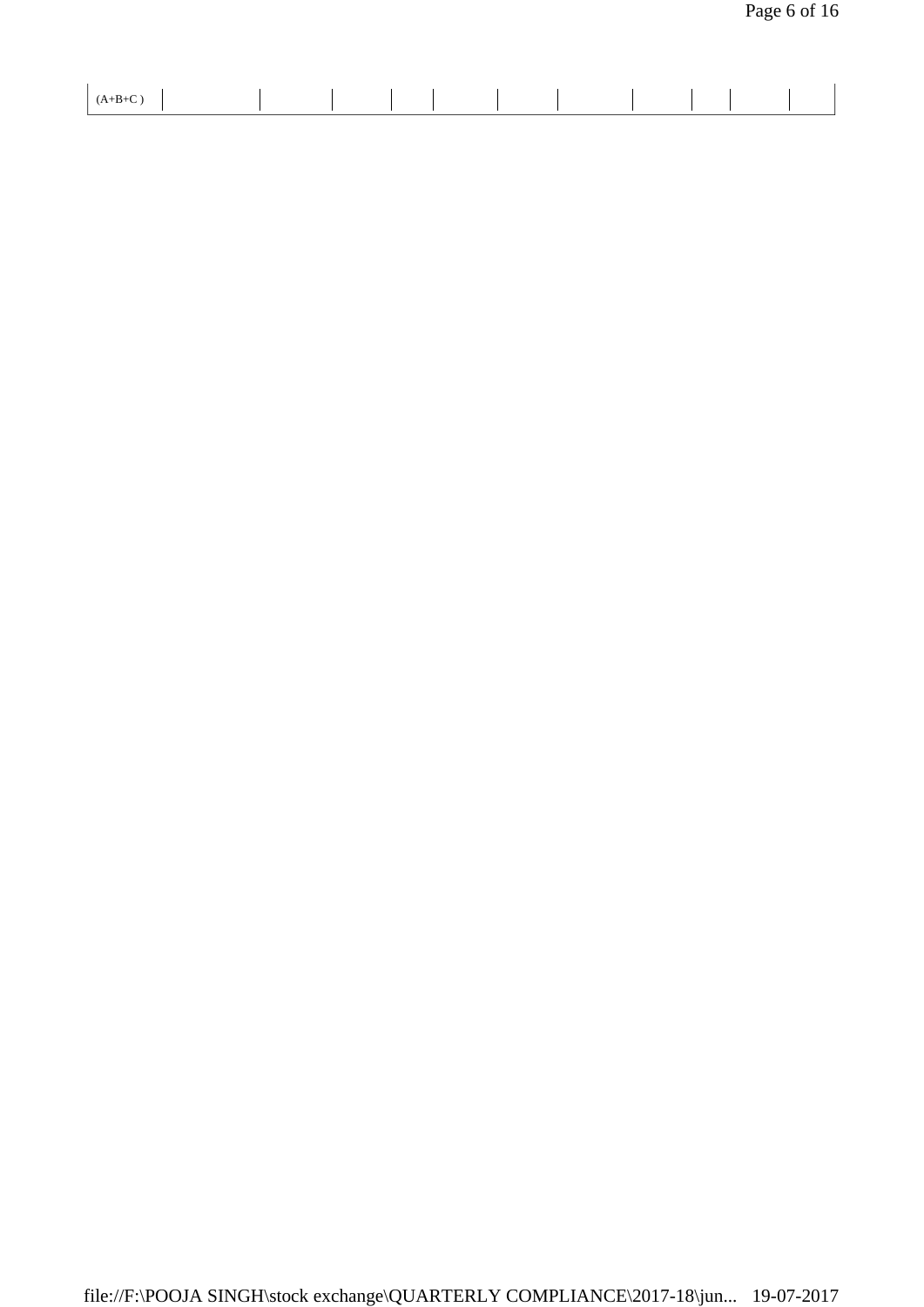| $\mathbf{v}$ |  |  |  |
|--------------|--|--|--|
|              |  |  |  |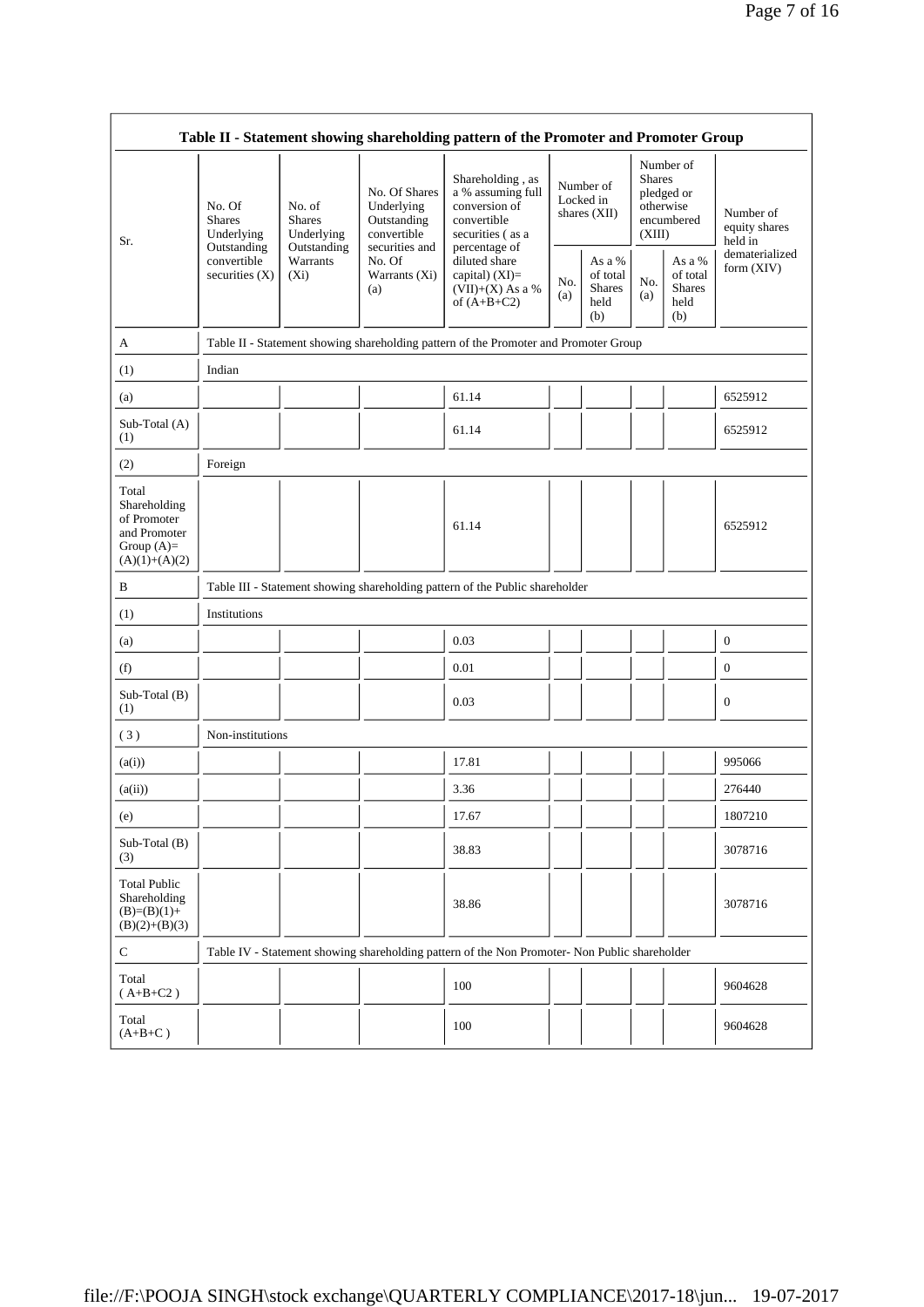|                                                                                         |                                                |                                       |                                                                             | Table II - Statement showing shareholding pattern of the Promoter and Promoter Group          |            |                                                    |                                                                               |                                                    |                                       |
|-----------------------------------------------------------------------------------------|------------------------------------------------|---------------------------------------|-----------------------------------------------------------------------------|-----------------------------------------------------------------------------------------------|------------|----------------------------------------------------|-------------------------------------------------------------------------------|----------------------------------------------------|---------------------------------------|
| Sr.                                                                                     | No. Of<br><b>Shares</b><br>Underlying          | No. of<br><b>Shares</b><br>Underlying | No. Of Shares<br>Underlying<br>Outstanding<br>convertible<br>securities and | Shareholding, as<br>a % assuming full<br>conversion of<br>convertible<br>securities (as a     |            | Number of<br>Locked in<br>shares $(XII)$           | Number of<br><b>Shares</b><br>pledged or<br>otherwise<br>encumbered<br>(XIII) |                                                    | Number of<br>equity shares<br>held in |
|                                                                                         | Outstanding<br>convertible<br>securities $(X)$ | Outstanding<br>Warrants<br>$(X_i)$    | No. Of<br>Warrants (Xi)<br>(a)                                              | percentage of<br>diluted share<br>capital) $(XI)$ =<br>$(VII)+(X)$ As a %<br>of $(A+B+C2)$    | No.<br>(a) | As a %<br>of total<br><b>Shares</b><br>held<br>(b) | No.<br>(a)                                                                    | As a %<br>of total<br><b>Shares</b><br>held<br>(b) | dematerialized<br>form (XIV)          |
| A                                                                                       |                                                |                                       |                                                                             | Table II - Statement showing shareholding pattern of the Promoter and Promoter Group          |            |                                                    |                                                                               |                                                    |                                       |
| (1)                                                                                     | Indian                                         |                                       |                                                                             |                                                                                               |            |                                                    |                                                                               |                                                    |                                       |
| (a)                                                                                     |                                                |                                       |                                                                             | 61.14                                                                                         |            |                                                    |                                                                               |                                                    | 6525912                               |
| Sub-Total (A)<br>(1)                                                                    |                                                |                                       |                                                                             | 61.14                                                                                         |            |                                                    |                                                                               |                                                    | 6525912                               |
| (2)                                                                                     | Foreign                                        |                                       |                                                                             |                                                                                               |            |                                                    |                                                                               |                                                    |                                       |
| Total<br>Shareholding<br>of Promoter<br>and Promoter<br>Group $(A)=$<br>$(A)(1)+(A)(2)$ |                                                |                                       |                                                                             | 61.14                                                                                         |            |                                                    |                                                                               |                                                    | 6525912                               |
| B                                                                                       |                                                |                                       |                                                                             | Table III - Statement showing shareholding pattern of the Public shareholder                  |            |                                                    |                                                                               |                                                    |                                       |
| (1)                                                                                     | Institutions                                   |                                       |                                                                             |                                                                                               |            |                                                    |                                                                               |                                                    |                                       |
| (a)                                                                                     |                                                |                                       |                                                                             | 0.03                                                                                          |            |                                                    |                                                                               |                                                    | $\mathbf{0}$                          |
| (f)                                                                                     |                                                |                                       |                                                                             | 0.01                                                                                          |            |                                                    |                                                                               |                                                    | $\mathbf{0}$                          |
| Sub-Total (B)<br>(1)                                                                    |                                                |                                       |                                                                             | 0.03                                                                                          |            |                                                    |                                                                               |                                                    | $\mathbf{0}$                          |
| (3)                                                                                     | Non-institutions                               |                                       |                                                                             |                                                                                               |            |                                                    |                                                                               |                                                    |                                       |
| (a(i))                                                                                  |                                                |                                       |                                                                             | 17.81                                                                                         |            |                                                    |                                                                               |                                                    | 995066                                |
| (a(ii))                                                                                 |                                                |                                       |                                                                             | 3.36                                                                                          |            |                                                    |                                                                               |                                                    | 276440                                |
| (e)                                                                                     |                                                |                                       |                                                                             | 17.67                                                                                         |            |                                                    |                                                                               |                                                    | 1807210                               |
| Sub-Total (B)<br>(3)                                                                    |                                                |                                       |                                                                             | 38.83                                                                                         |            |                                                    |                                                                               |                                                    | 3078716                               |
| <b>Total Public</b><br>Shareholding<br>$(B)=(B)(1)+$<br>$(B)(2)+(B)(3)$                 |                                                |                                       |                                                                             | 38.86                                                                                         |            |                                                    |                                                                               |                                                    | 3078716                               |
| $\mathbf C$                                                                             |                                                |                                       |                                                                             | Table IV - Statement showing shareholding pattern of the Non Promoter- Non Public shareholder |            |                                                    |                                                                               |                                                    |                                       |
| Total<br>$(A+B+C2)$                                                                     |                                                |                                       |                                                                             | 100                                                                                           |            |                                                    |                                                                               |                                                    | 9604628                               |
| Total<br>$(A+B+C)$                                                                      |                                                |                                       |                                                                             | 100                                                                                           |            |                                                    |                                                                               |                                                    | 9604628                               |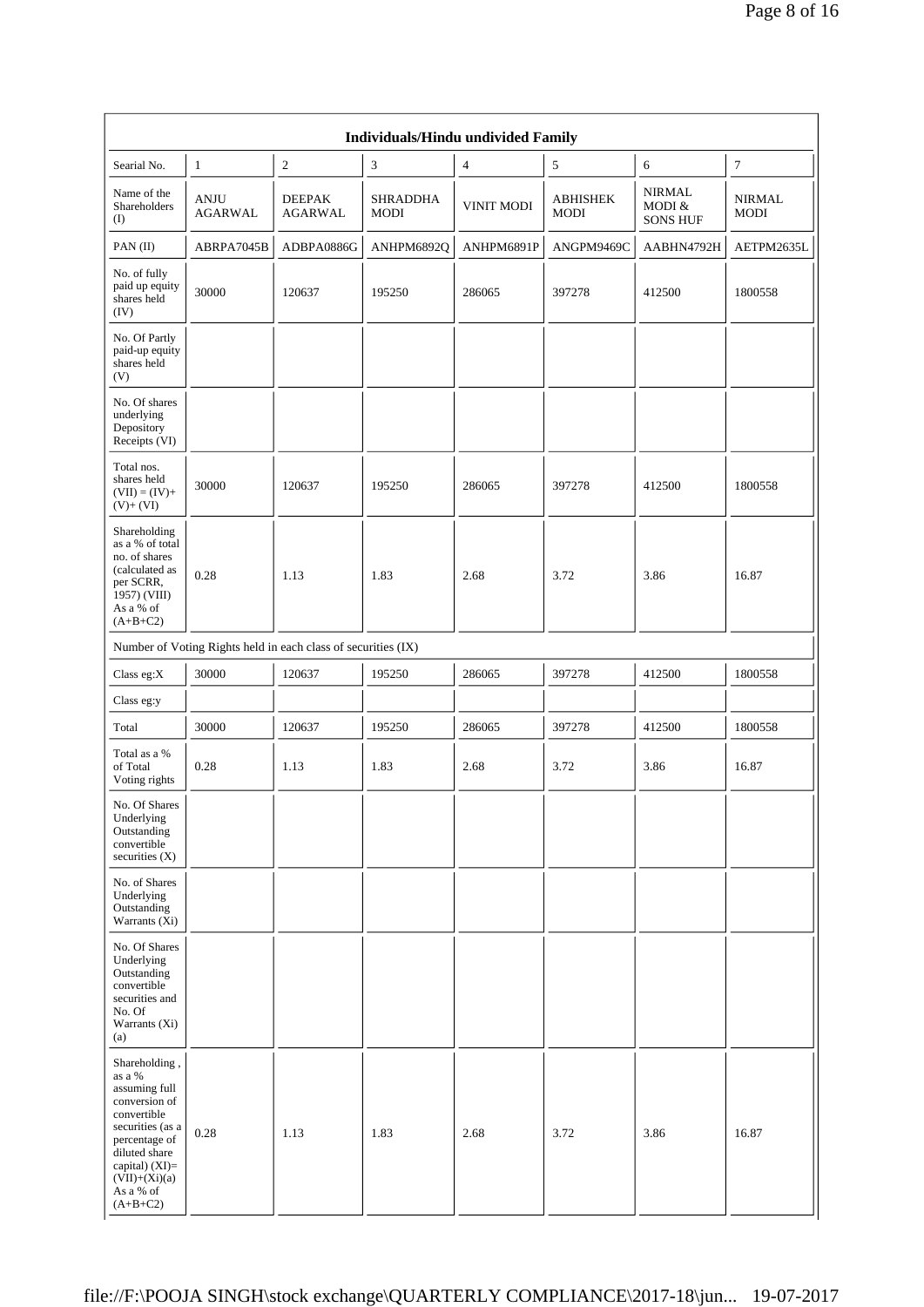|                                                                                                                                                                                                  |                               |                                                               | Individuals/Hindu undivided Family |                   |                         |                                            |                              |
|--------------------------------------------------------------------------------------------------------------------------------------------------------------------------------------------------|-------------------------------|---------------------------------------------------------------|------------------------------------|-------------------|-------------------------|--------------------------------------------|------------------------------|
| Searial No.                                                                                                                                                                                      | $\mathbf{1}$                  | $\sqrt{2}$                                                    | $\mathfrak{Z}$                     | $\overline{4}$    | $\sqrt{5}$              | 6                                          | $\boldsymbol{7}$             |
| Name of the<br>Shareholders<br>(I)                                                                                                                                                               | <b>ANJU</b><br><b>AGARWAL</b> | <b>DEEPAK</b><br>AGARWAL                                      | <b>SHRADDHA</b><br><b>MODI</b>     | <b>VINIT MODI</b> | <b>ABHISHEK</b><br>MODI | <b>NIRMAL</b><br>MODI &<br><b>SONS HUF</b> | <b>NIRMAL</b><br><b>MODI</b> |
| PAN(II)                                                                                                                                                                                          | ABRPA7045B                    | ADBPA0886G                                                    | ANHPM6892Q                         | ANHPM6891P        | ANGPM9469C              | AABHN4792H                                 | AETPM2635L                   |
| No. of fully<br>paid up equity<br>shares held<br>(IV)                                                                                                                                            | 30000                         | 120637                                                        | 195250                             | 286065            | 397278                  | 412500                                     | 1800558                      |
| No. Of Partly<br>paid-up equity<br>shares held<br>(V)                                                                                                                                            |                               |                                                               |                                    |                   |                         |                                            |                              |
| No. Of shares<br>underlying<br>Depository<br>Receipts (VI)                                                                                                                                       |                               |                                                               |                                    |                   |                         |                                            |                              |
| Total nos.<br>shares held<br>$(VII) = (IV) +$<br>$(V) + (VI)$                                                                                                                                    | 30000                         | 120637                                                        | 195250                             | 286065            | 397278                  | 412500                                     | 1800558                      |
| Shareholding<br>as a % of total<br>no. of shares<br>(calculated as<br>per SCRR,<br>1957) (VIII)<br>As a % of<br>$(A+B+C2)$                                                                       | 0.28                          | 1.13                                                          | 1.83                               | 2.68              | 3.72                    | 3.86                                       | 16.87                        |
|                                                                                                                                                                                                  |                               | Number of Voting Rights held in each class of securities (IX) |                                    |                   |                         |                                            |                              |
| Class eg:X                                                                                                                                                                                       | 30000                         | 120637                                                        | 195250                             | 286065            | 397278                  | 412500                                     | 1800558                      |
| Class eg:y                                                                                                                                                                                       |                               |                                                               |                                    |                   |                         |                                            |                              |
| Total                                                                                                                                                                                            | 30000                         | 120637                                                        | 195250                             | 286065            | 397278                  | 412500                                     | 1800558                      |
| Total as a %<br>of Total<br>Voting rights                                                                                                                                                        | 0.28                          | 1.13                                                          | 1.83                               | 2.68              | 3.72                    | 3.86                                       | 16.87                        |
| No. Of Shares<br>Underlying<br>Outstanding<br>convertible<br>securities $(X)$                                                                                                                    |                               |                                                               |                                    |                   |                         |                                            |                              |
| No. of Shares<br>Underlying<br>Outstanding<br>Warrants (Xi)                                                                                                                                      |                               |                                                               |                                    |                   |                         |                                            |                              |
| No. Of Shares<br>Underlying<br>Outstanding<br>convertible<br>securities and<br>No. Of<br>Warrants (Xi)<br>(a)                                                                                    |                               |                                                               |                                    |                   |                         |                                            |                              |
| Shareholding,<br>as a %<br>assuming full<br>conversion of<br>convertible<br>securities (as a<br>percentage of<br>diluted share<br>capital) $(XI)=$<br>$(VII)+(Xi)(a)$<br>As a % of<br>$(A+B+C2)$ | 0.28                          | 1.13                                                          | 1.83                               | 2.68              | 3.72                    | 3.86                                       | 16.87                        |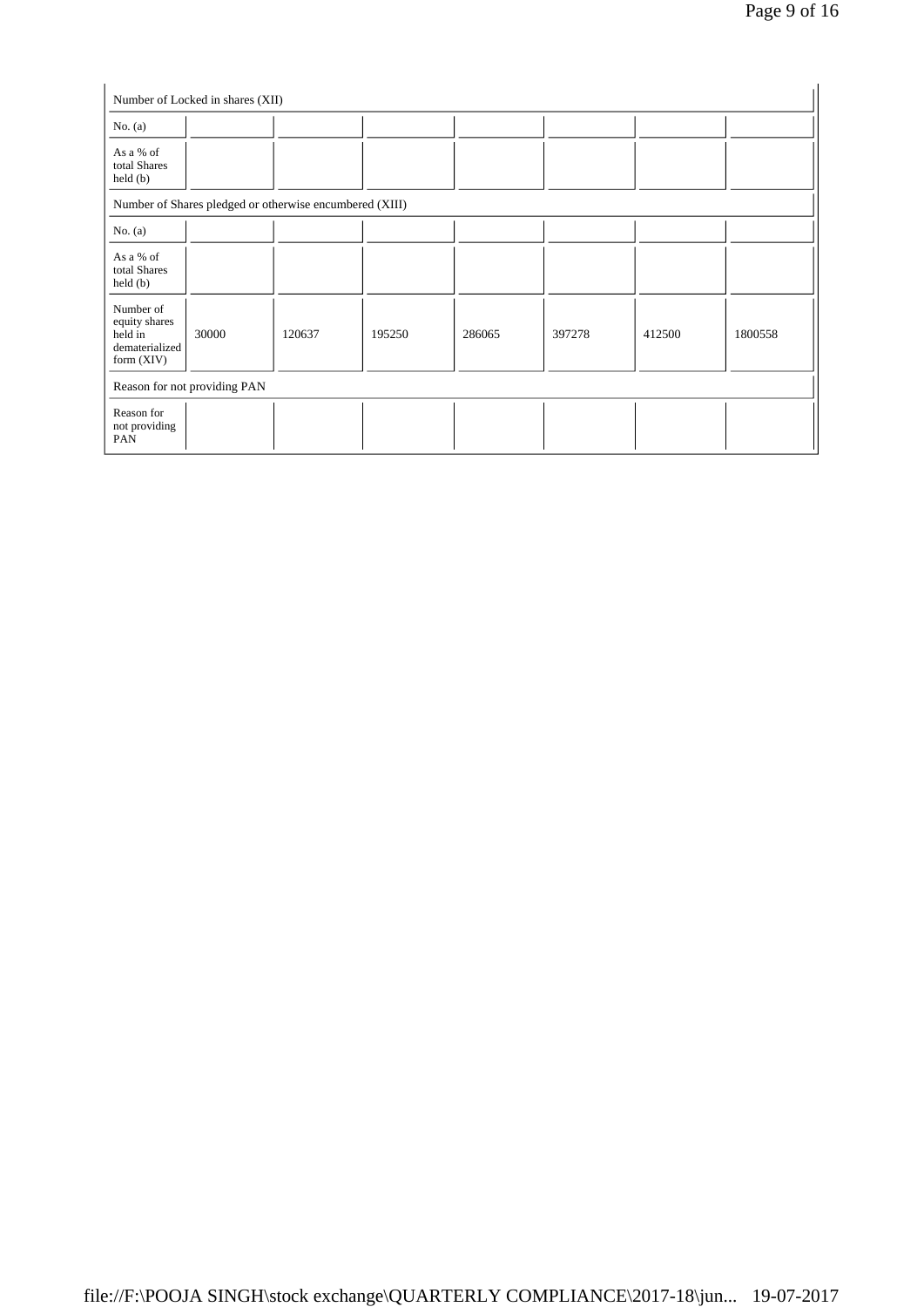| No. $(a)$                                                               |                              |                                                         |        |        |        |        |         |
|-------------------------------------------------------------------------|------------------------------|---------------------------------------------------------|--------|--------|--------|--------|---------|
| As a % of<br>total Shares<br>$\text{held}(\text{b})$                    |                              |                                                         |        |        |        |        |         |
|                                                                         |                              | Number of Shares pledged or otherwise encumbered (XIII) |        |        |        |        |         |
| No. $(a)$                                                               |                              |                                                         |        |        |        |        |         |
| As a % of<br>total Shares<br>held(b)                                    |                              |                                                         |        |        |        |        |         |
| Number of<br>equity shares<br>held in<br>dematerialized<br>form $(XIV)$ | 30000                        | 120637                                                  | 195250 | 286065 | 397278 | 412500 | 1800558 |
|                                                                         | Reason for not providing PAN |                                                         |        |        |        |        |         |
| Reason for<br>not providing<br>PAN                                      |                              |                                                         |        |        |        |        |         |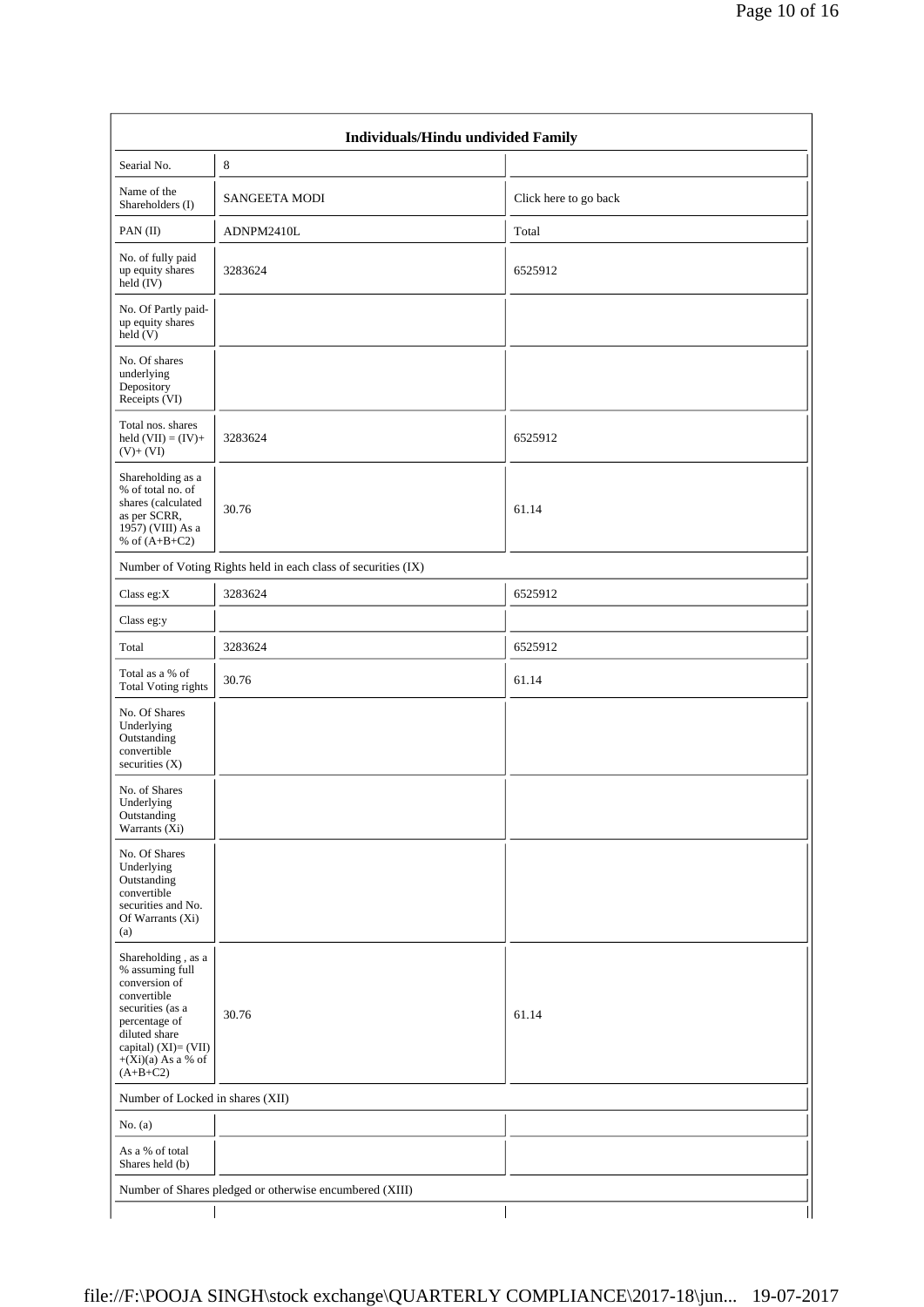|                                                                                                                                                                                           | Individuals/Hindu undivided Family                            |                       |
|-------------------------------------------------------------------------------------------------------------------------------------------------------------------------------------------|---------------------------------------------------------------|-----------------------|
| Searial No.                                                                                                                                                                               | $8\,$                                                         |                       |
| Name of the<br>Shareholders (I)                                                                                                                                                           | <b>SANGEETA MODI</b>                                          | Click here to go back |
| PAN(II)                                                                                                                                                                                   | ADNPM2410L                                                    | Total                 |
| No. of fully paid<br>up equity shares<br>held (IV)                                                                                                                                        | 3283624                                                       | 6525912               |
| No. Of Partly paid-<br>up equity shares<br>$\text{held} (V)$                                                                                                                              |                                                               |                       |
| No. Of shares<br>underlying<br>Depository<br>Receipts (VI)                                                                                                                                |                                                               |                       |
| Total nos. shares<br>held $(VII) = (IV) +$<br>$(V)$ + $(VI)$                                                                                                                              | 3283624                                                       | 6525912               |
| Shareholding as a<br>% of total no. of<br>shares (calculated<br>as per SCRR,<br>1957) (VIII) As a<br>% of $(A+B+C2)$                                                                      | 30.76                                                         | 61.14                 |
|                                                                                                                                                                                           | Number of Voting Rights held in each class of securities (IX) |                       |
| Class eg:X                                                                                                                                                                                | 3283624                                                       | 6525912               |
| Class eg:y                                                                                                                                                                                |                                                               |                       |
| Total                                                                                                                                                                                     | 3283624                                                       | 6525912               |
| Total as a % of<br><b>Total Voting rights</b>                                                                                                                                             | 30.76                                                         | 61.14                 |
| No. Of Shares<br>Underlying<br>Outstanding<br>convertible<br>securities $(X)$                                                                                                             |                                                               |                       |
| No. of Shares<br>Underlying<br>Outstanding<br>Warrants (Xi)                                                                                                                               |                                                               |                       |
| No. Of Shares<br>Underlying<br>Outstanding<br>convertible<br>securities and No.<br>Of Warrants (Xi)<br>(a)                                                                                |                                                               |                       |
| Shareholding, as a<br>% assuming full<br>conversion of<br>convertible<br>securities (as a<br>percentage of<br>diluted share<br>capital) (XI)= (VII)<br>$+(Xi)(a)$ As a % of<br>$(A+B+C2)$ | 30.76                                                         | 61.14                 |
| Number of Locked in shares (XII)                                                                                                                                                          |                                                               |                       |
| No. $(a)$                                                                                                                                                                                 |                                                               |                       |
| As a % of total<br>Shares held (b)                                                                                                                                                        |                                                               |                       |
|                                                                                                                                                                                           | Number of Shares pledged or otherwise encumbered (XIII)       |                       |
|                                                                                                                                                                                           |                                                               |                       |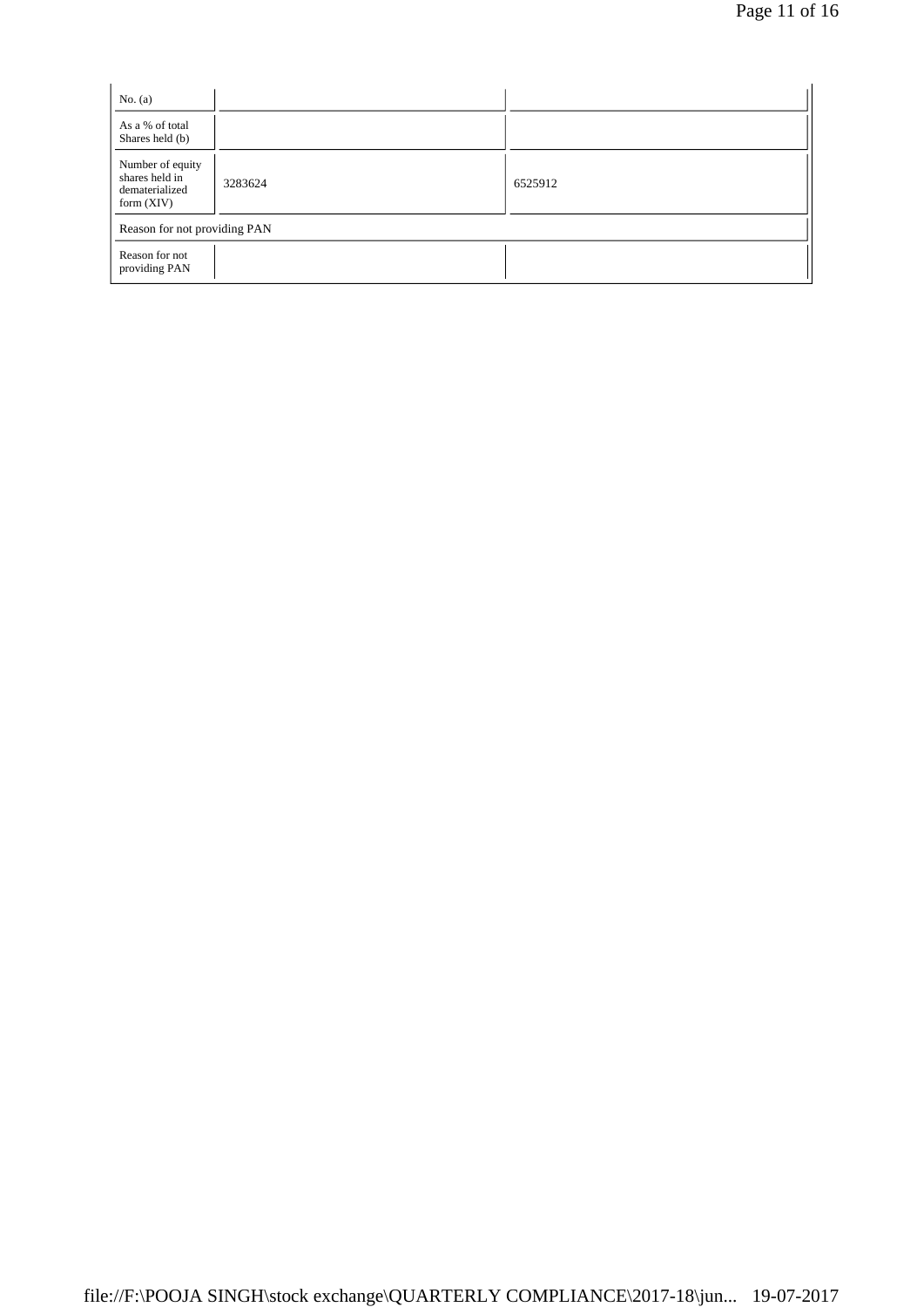| No. $(a)$                                                            |         |         |  |
|----------------------------------------------------------------------|---------|---------|--|
| As a % of total<br>Shares held (b)                                   |         |         |  |
| Number of equity<br>shares held in<br>dematerialized<br>form $(XIV)$ | 3283624 | 6525912 |  |
| Reason for not providing PAN                                         |         |         |  |
| Reason for not<br>providing PAN                                      |         |         |  |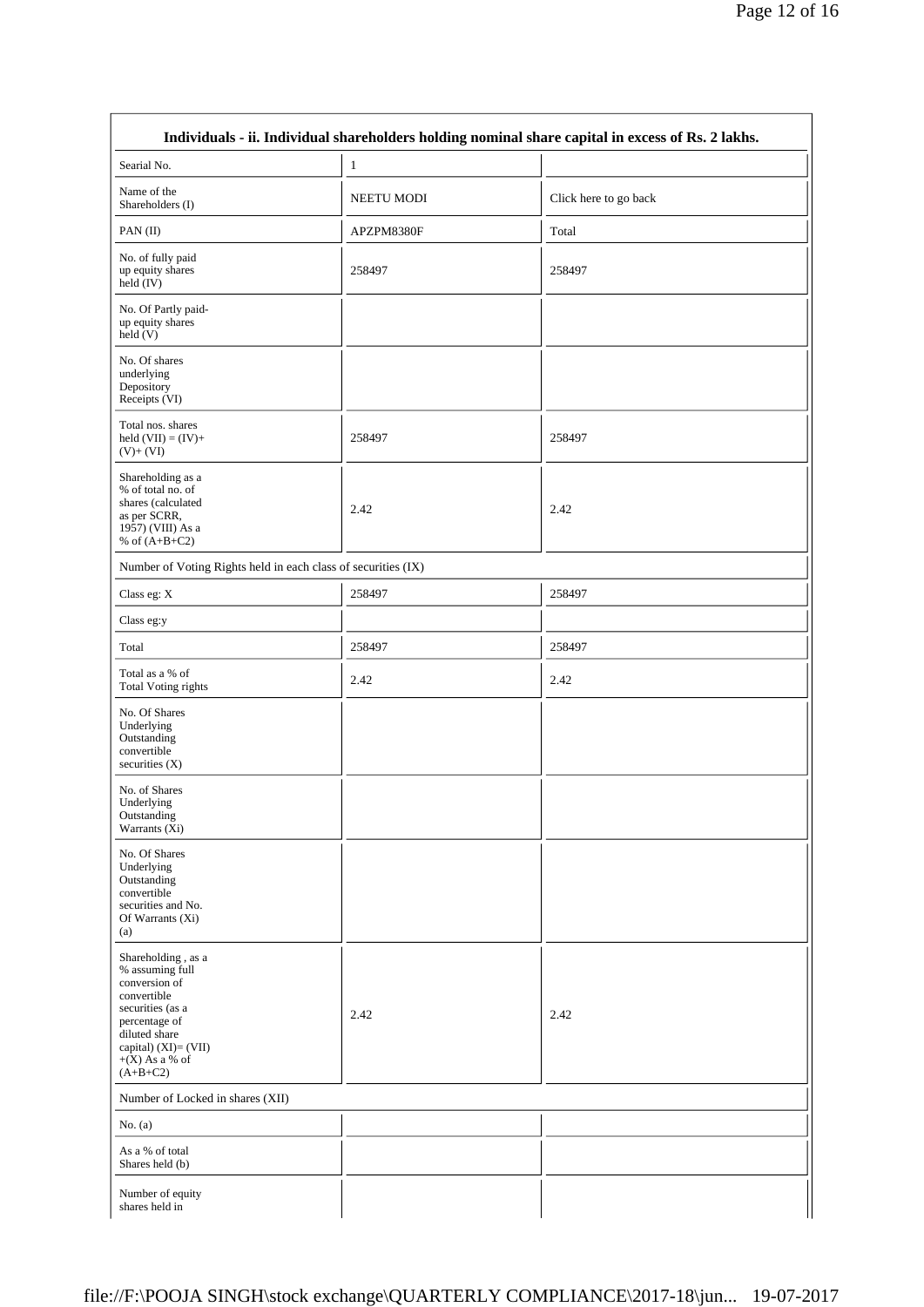| Searial No.                                                                                                                                                                           | $\mathbf{1}$      |                       |
|---------------------------------------------------------------------------------------------------------------------------------------------------------------------------------------|-------------------|-----------------------|
| Name of the<br>Shareholders (I)                                                                                                                                                       | <b>NEETU MODI</b> | Click here to go back |
| PAN(II)                                                                                                                                                                               | APZPM8380F        | Total                 |
| No. of fully paid<br>up equity shares<br>$held$ (IV)                                                                                                                                  | 258497            | 258497                |
| No. Of Partly paid-<br>up equity shares<br>held(V)                                                                                                                                    |                   |                       |
| No. Of shares<br>underlying<br>Depository<br>Receipts (VI)                                                                                                                            |                   |                       |
| Total nos. shares<br>held $(VII) = (IV) +$<br>$(V)+(VI)$                                                                                                                              | 258497            | 258497                |
| Shareholding as a<br>% of total no. of<br>shares (calculated<br>as per SCRR,<br>1957) (VIII) As a<br>% of $(A+B+C2)$                                                                  | 2.42              | 2.42                  |
| Number of Voting Rights held in each class of securities (IX)                                                                                                                         |                   |                       |
| Class eg: X                                                                                                                                                                           | 258497            | 258497                |
| Class eg:y                                                                                                                                                                            |                   |                       |
| Total                                                                                                                                                                                 | 258497            | 258497                |
| Total as a % of<br>Total Voting rights                                                                                                                                                | 2.42              | 2.42                  |
| No. Of Shares<br>Underlying<br>Outstanding<br>convertible<br>securities (X)                                                                                                           |                   |                       |
| No. of Shares<br>Underlying<br>Outstanding<br>Warrants $(X_i)$                                                                                                                        |                   |                       |
| No. Of Shares<br>Underlying<br>Outstanding<br>convertible<br>securities and No.<br>Of Warrants (Xi)<br>(a)                                                                            |                   |                       |
| Shareholding, as a<br>% assuming full<br>conversion of<br>convertible<br>securities (as a<br>percentage of<br>diluted share<br>capital) (XI)= (VII)<br>$+(X)$ As a % of<br>$(A+B+C2)$ | 2.42              | 2.42                  |
| Number of Locked in shares (XII)                                                                                                                                                      |                   |                       |
| No. $(a)$                                                                                                                                                                             |                   |                       |
| As a % of total<br>Shares held (b)                                                                                                                                                    |                   |                       |
| Number of equity<br>shares held in                                                                                                                                                    |                   |                       |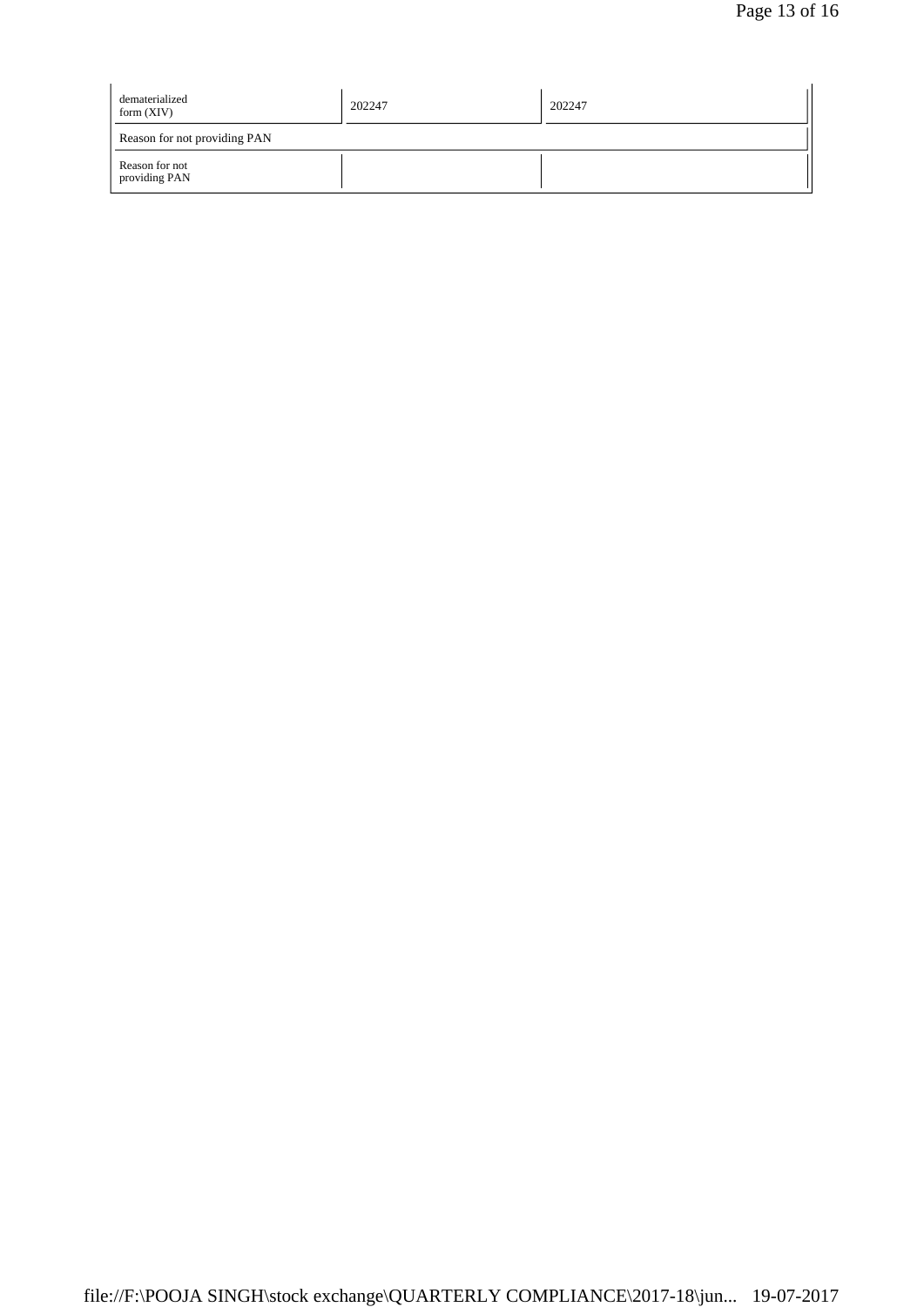| dematerialized<br>form $(XIV)$  | 202247 | 202247 |  |  |
|---------------------------------|--------|--------|--|--|
| Reason for not providing PAN    |        |        |  |  |
| Reason for not<br>providing PAN |        |        |  |  |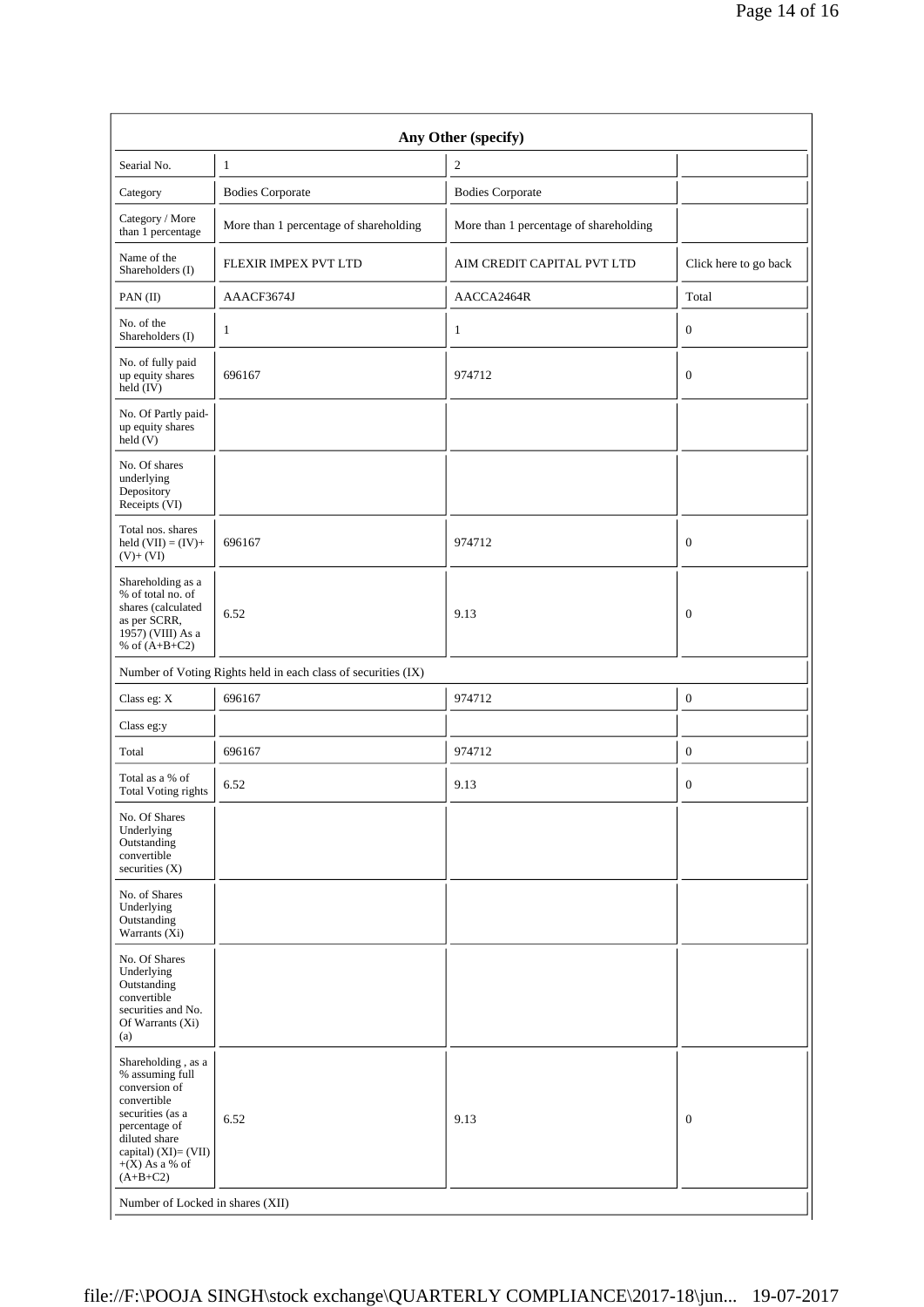| Any Other (specify)                                                                                                                                                                      |                                                               |                                        |                       |  |  |  |
|------------------------------------------------------------------------------------------------------------------------------------------------------------------------------------------|---------------------------------------------------------------|----------------------------------------|-----------------------|--|--|--|
| Searial No.                                                                                                                                                                              | $\mathbf{1}$                                                  | $\mathfrak{2}$                         |                       |  |  |  |
| Category                                                                                                                                                                                 | <b>Bodies Corporate</b>                                       | <b>Bodies Corporate</b>                |                       |  |  |  |
| Category / More<br>than 1 percentage                                                                                                                                                     | More than 1 percentage of shareholding                        | More than 1 percentage of shareholding |                       |  |  |  |
| Name of the<br>Shareholders (I)                                                                                                                                                          | FLEXIR IMPEX PVT LTD                                          | AIM CREDIT CAPITAL PVT LTD             | Click here to go back |  |  |  |
| PAN(II)                                                                                                                                                                                  | AAACF3674J                                                    | AACCA2464R                             | Total                 |  |  |  |
| No. of the<br>Shareholders (I)                                                                                                                                                           | $\mathbf{1}$                                                  | 1                                      | $\mathbf{0}$          |  |  |  |
| No. of fully paid<br>up equity shares<br>held (IV)                                                                                                                                       | 696167                                                        | 974712                                 | $\boldsymbol{0}$      |  |  |  |
| No. Of Partly paid-<br>up equity shares<br>held(V)                                                                                                                                       |                                                               |                                        |                       |  |  |  |
| No. Of shares<br>underlying<br>Depository<br>Receipts (VI)                                                                                                                               |                                                               |                                        |                       |  |  |  |
| Total nos. shares<br>held $(VII) = (IV) +$<br>$(V)+(VI)$                                                                                                                                 | 696167                                                        | 974712                                 | $\mathbf{0}$          |  |  |  |
| Shareholding as a<br>% of total no. of<br>shares (calculated<br>as per SCRR,<br>1957) (VIII) As a<br>% of $(A+B+C2)$                                                                     | 6.52                                                          | 9.13                                   | $\mathbf{0}$          |  |  |  |
|                                                                                                                                                                                          | Number of Voting Rights held in each class of securities (IX) |                                        |                       |  |  |  |
| Class eg: X                                                                                                                                                                              | 696167                                                        | 974712                                 | $\boldsymbol{0}$      |  |  |  |
| Class eg:y                                                                                                                                                                               |                                                               |                                        |                       |  |  |  |
| Total                                                                                                                                                                                    | 696167                                                        | 974712                                 | $\mathbf{0}$          |  |  |  |
| Total as a % of<br><b>Total Voting rights</b>                                                                                                                                            | 6.52                                                          | 9.13                                   | $\mathbf{0}$          |  |  |  |
| No. Of Shares<br>Underlying<br>Outstanding<br>convertible<br>securities $(X)$                                                                                                            |                                                               |                                        |                       |  |  |  |
| No. of Shares<br>Underlying<br>Outstanding<br>Warrants (Xi)                                                                                                                              |                                                               |                                        |                       |  |  |  |
| No. Of Shares<br>Underlying<br>Outstanding<br>convertible<br>securities and No.<br>Of Warrants (Xi)<br>(a)                                                                               |                                                               |                                        |                       |  |  |  |
| Shareholding, as a<br>% assuming full<br>conversion of<br>convertible<br>securities (as a<br>percentage of<br>diluted share<br>capital) $(XI) = (VII)$<br>$+(X)$ As a % of<br>$(A+B+C2)$ | 6.52                                                          | 9.13                                   | $\boldsymbol{0}$      |  |  |  |
| Number of Locked in shares (XII)                                                                                                                                                         |                                                               |                                        |                       |  |  |  |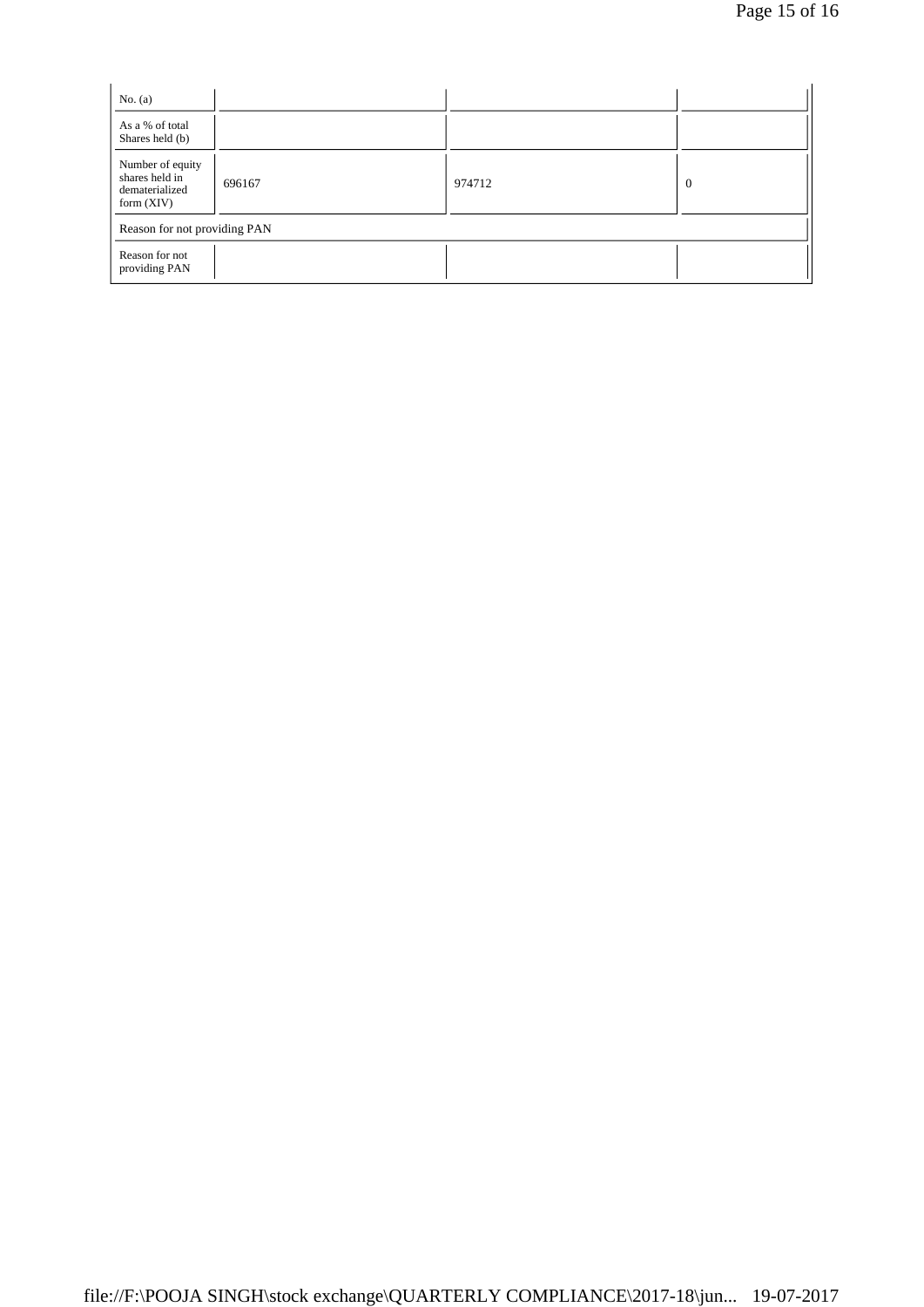| No. $(a)$                                                            |        |        |                |
|----------------------------------------------------------------------|--------|--------|----------------|
| As a % of total<br>Shares held (b)                                   |        |        |                |
| Number of equity<br>shares held in<br>dematerialized<br>form $(XIV)$ | 696167 | 974712 | $\overline{0}$ |
| Reason for not providing PAN                                         |        |        |                |
| Reason for not<br>providing PAN                                      |        |        |                |